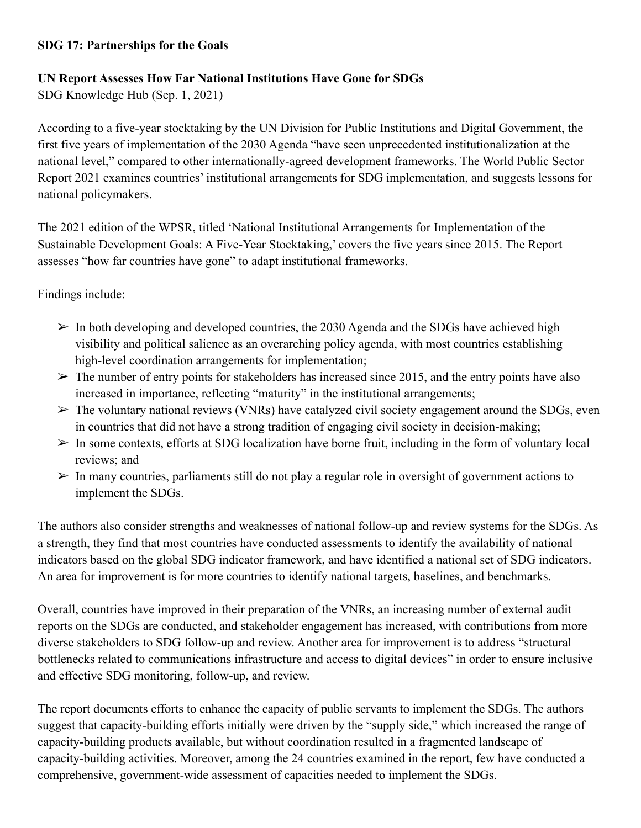## **SDG 17: Partnerships for the Goals**

## **UN Report Assesses How Far National Institutions Have Gone for SDGs**

SDG Knowledge Hub (Sep. 1, 2021)

According to a five-year stocktaking by the UN Division for Public Institutions and Digital Government, the first five years of implementation of the 2030 Agenda "have seen unprecedented institutionalization at the national level," compared to other internationally-agreed development frameworks. The World Public Sector Report 2021 examines countries' institutional arrangements for SDG implementation, and suggests lessons for national policymakers.

The 2021 edition of the WPSR, titled 'National Institutional Arrangements for Implementation of the Sustainable Development Goals: A Five-Year Stocktaking,' covers the five years since 2015. The Report assesses "how far countries have gone" to adapt institutional frameworks.

Findings include:

- $\triangleright$  In both developing and developed countries, the 2030 Agenda and the SDGs have achieved high visibility and political salience as an overarching policy agenda, with most countries establishing high-level coordination arrangements for implementation;
- $\geq$  The number of entry points for stakeholders has increased since 2015, and the entry points have also increased in importance, reflecting "maturity" in the institutional arrangements;
- $\triangleright$  The voluntary national reviews (VNRs) have catalyzed civil society engagement around the SDGs, even in countries that did not have a strong tradition of engaging civil society in decision-making;
- $\triangleright$  In some contexts, efforts at SDG localization have borne fruit, including in the form of voluntary local reviews; and
- $\triangleright$  In many countries, parliaments still do not play a regular role in oversight of government actions to implement the SDGs.

The authors also consider strengths and weaknesses of national follow-up and review systems for the SDGs. As a strength, they find that most countries have conducted assessments to identify the availability of national indicators based on the global SDG indicator framework, and have identified a national set of SDG indicators. An area for improvement is for more countries to identify national targets, baselines, and benchmarks.

Overall, countries have improved in their preparation of the VNRs, an increasing number of external audit reports on the SDGs are conducted, and stakeholder engagement has increased, with contributions from more diverse stakeholders to SDG follow-up and review. Another area for improvement is to address "structural bottlenecks related to communications infrastructure and access to digital devices" in order to ensure inclusive and effective SDG monitoring, follow-up, and review.

The report documents efforts to enhance the capacity of public servants to implement the SDGs. The authors suggest that capacity-building efforts initially were driven by the "supply side," which increased the range of capacity-building products available, but without coordination resulted in a fragmented landscape of capacity-building activities. Moreover, among the 24 countries examined in the report, few have conducted a comprehensive, government-wide assessment of capacities needed to implement the SDGs.